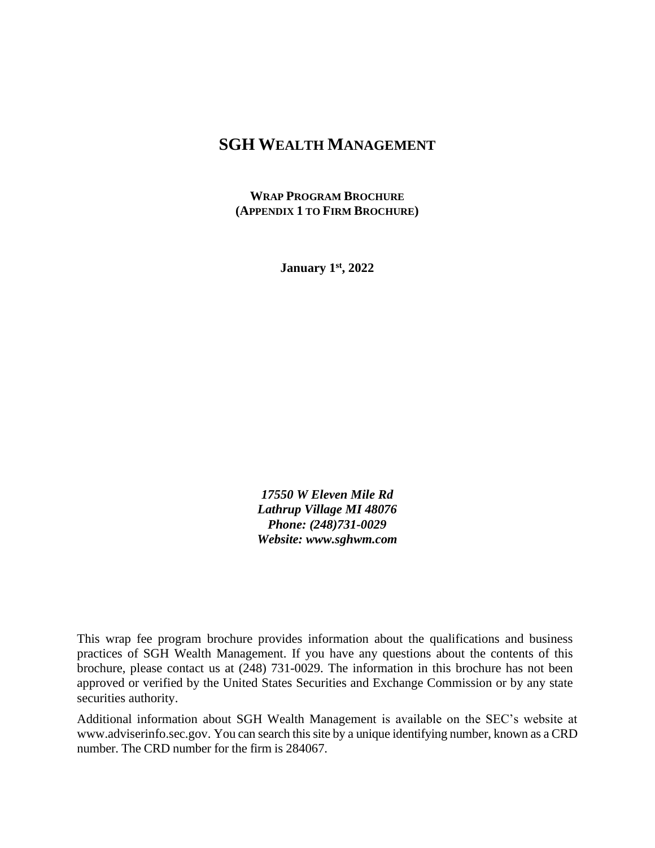# **SGH WEALTH MANAGEMENT**

**WRAP PROGRAM BROCHURE (APPENDIX 1 TO FIRM BROCHURE)**

**January 1st, 2022**

*17550 W Eleven Mile Rd Lathrup Village MI 48076 Phone: (248)731-0029 Website: www.sghwm.com*

This wrap fee program brochure provides information about the qualifications and business practices of SGH Wealth Management. If you have any questions about the contents of this brochure, please contact us at (248) 731-0029. The information in this brochure has not been approved or verified by the United States Securities and Exchange Commission or by any state securities authority.

Additional information about SGH Wealth Management is available on the SEC's website at www.adviserinfo.sec.gov. You can search this site by a unique identifying number, known as a CRD number. The CRD number for the firm is 284067.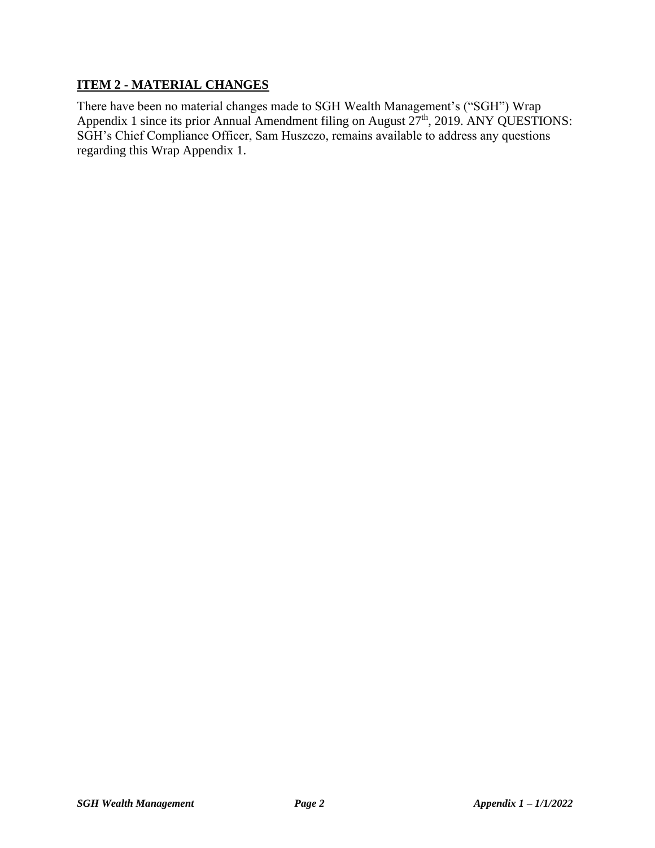### **ITEM 2 - MATERIAL CHANGES**

There have been no material changes made to SGH Wealth Management's ("SGH") Wrap Appendix 1 since its prior Annual Amendment filing on August  $27<sup>th</sup>$ , 2019. ANY QUESTIONS: SGH's Chief Compliance Officer, Sam Huszczo, remains available to address any questions regarding this Wrap Appendix 1.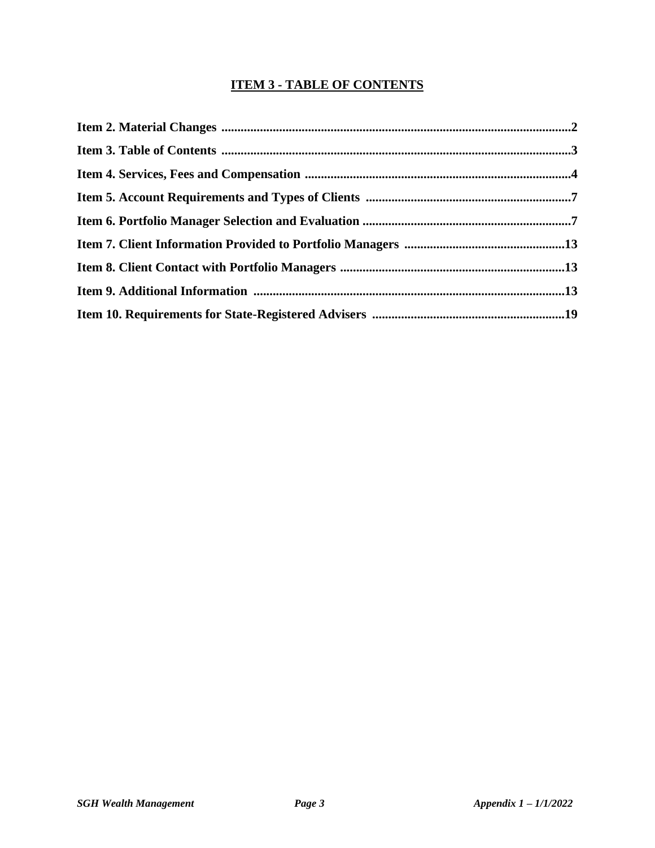# **ITEM 3 - TABLE OF CONTENTS**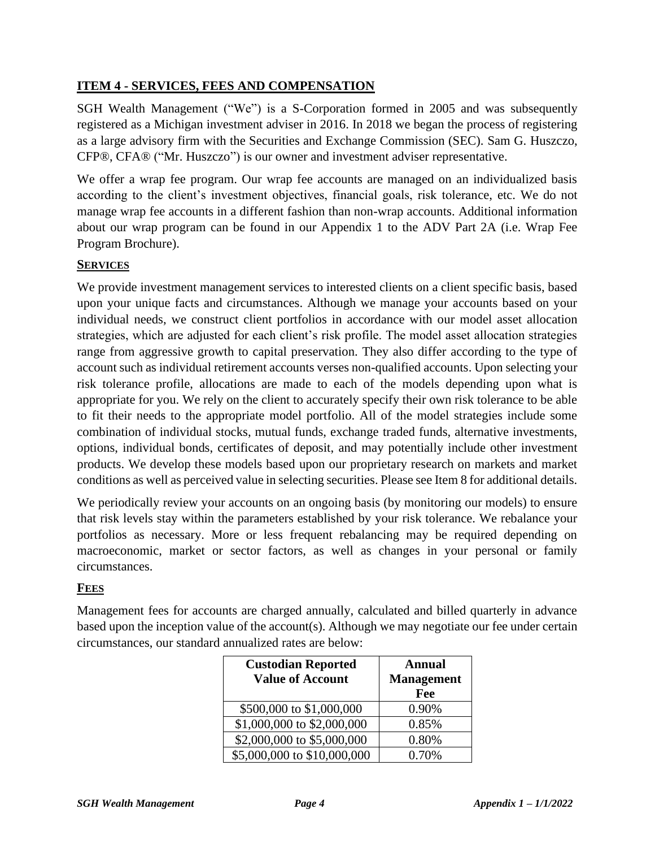### **ITEM 4 - SERVICES, FEES AND COMPENSATION**

SGH Wealth Management ("We") is a S-Corporation formed in 2005 and was subsequently registered as a Michigan investment adviser in 2016. In 2018 we began the process of registering as a large advisory firm with the Securities and Exchange Commission (SEC). Sam G. Huszczo, CFP®, CFA® ("Mr. Huszczo") is our owner and investment adviser representative.

We offer a wrap fee program. Our wrap fee accounts are managed on an individualized basis according to the client's investment objectives, financial goals, risk tolerance, etc. We do not manage wrap fee accounts in a different fashion than non-wrap accounts. Additional information about our wrap program can be found in our Appendix 1 to the ADV Part 2A (i.e. Wrap Fee Program Brochure).

#### **SERVICES**

We provide investment management services to interested clients on a client specific basis, based upon your unique facts and circumstances. Although we manage your accounts based on your individual needs, we construct client portfolios in accordance with our model asset allocation strategies, which are adjusted for each client's risk profile. The model asset allocation strategies range from aggressive growth to capital preservation. They also differ according to the type of account such as individual retirement accounts verses non-qualified accounts. Upon selecting your risk tolerance profile, allocations are made to each of the models depending upon what is appropriate for you. We rely on the client to accurately specify their own risk tolerance to be able to fit their needs to the appropriate model portfolio. All of the model strategies include some combination of individual stocks, mutual funds, exchange traded funds, alternative investments, options, individual bonds, certificates of deposit, and may potentially include other investment products. We develop these models based upon our proprietary research on markets and market conditions as well as perceived value in selecting securities. Please see Item 8 for additional details.

We periodically review your accounts on an ongoing basis (by monitoring our models) to ensure that risk levels stay within the parameters established by your risk tolerance. We rebalance your portfolios as necessary. More or less frequent rebalancing may be required depending on macroeconomic, market or sector factors, as well as changes in your personal or family circumstances.

### **FEES**

Management fees for accounts are charged annually, calculated and billed quarterly in advance based upon the inception value of the account(s). Although we may negotiate our fee under certain circumstances, our standard annualized rates are below:

| <b>Custodian Reported</b><br><b>Value of Account</b>   | Annual<br><b>Management</b> |  |
|--------------------------------------------------------|-----------------------------|--|
|                                                        | Fee                         |  |
| \$500,000 to \$1,000,000<br>\$1,000,000 to \$2,000,000 | 0.90%<br>0.85%              |  |
| \$2,000,000 to \$5,000,000                             | 0.80%                       |  |
| \$5,000,000 to \$10,000,000                            | 0.70%                       |  |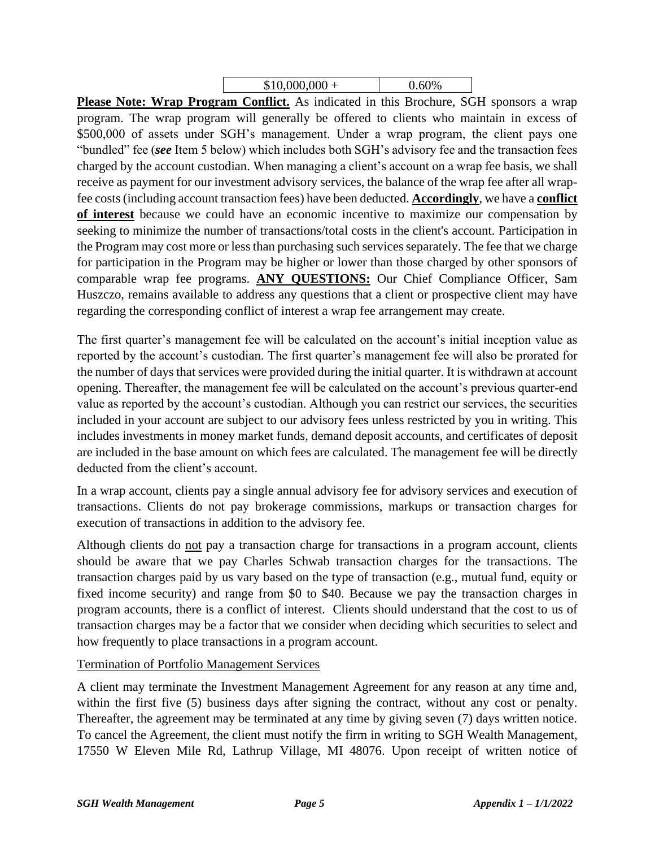| $$10,000,000 +$ | 0.60% |
|-----------------|-------|
|-----------------|-------|

**Please Note: Wrap Program Conflict.** As indicated in this Brochure, SGH sponsors a wrap program. The wrap program will generally be offered to clients who maintain in excess of \$500,000 of assets under SGH's management. Under a wrap program, the client pays one "bundled" fee (*see* Item 5 below) which includes both SGH's advisory fee and the transaction fees charged by the account custodian. When managing a client's account on a wrap fee basis, we shall receive as payment for our investment advisory services, the balance of the wrap fee after all wrapfee costs (including account transaction fees) have been deducted. **Accordingly**, we have a **conflict of interest** because we could have an economic incentive to maximize our compensation by seeking to minimize the number of transactions/total costs in the client's account. Participation in the Program may cost more or less than purchasing such services separately. The fee that we charge for participation in the Program may be higher or lower than those charged by other sponsors of comparable wrap fee programs. **ANY QUESTIONS:** Our Chief Compliance Officer, Sam Huszczo, remains available to address any questions that a client or prospective client may have regarding the corresponding conflict of interest a wrap fee arrangement may create.

The first quarter's management fee will be calculated on the account's initial inception value as reported by the account's custodian. The first quarter's management fee will also be prorated for the number of days that services were provided during the initial quarter. It is withdrawn at account opening. Thereafter, the management fee will be calculated on the account's previous quarter-end value as reported by the account's custodian. Although you can restrict our services, the securities included in your account are subject to our advisory fees unless restricted by you in writing. This includes investments in money market funds, demand deposit accounts, and certificates of deposit are included in the base amount on which fees are calculated. The management fee will be directly deducted from the client's account.

In a wrap account, clients pay a single annual advisory fee for advisory services and execution of transactions. Clients do not pay brokerage commissions, markups or transaction charges for execution of transactions in addition to the advisory fee.

Although clients do not pay a transaction charge for transactions in a program account, clients should be aware that we pay Charles Schwab transaction charges for the transactions. The transaction charges paid by us vary based on the type of transaction (e.g., mutual fund, equity or fixed income security) and range from \$0 to \$40. Because we pay the transaction charges in program accounts, there is a conflict of interest. Clients should understand that the cost to us of transaction charges may be a factor that we consider when deciding which securities to select and how frequently to place transactions in a program account.

Termination of Portfolio Management Services

A client may terminate the Investment Management Agreement for any reason at any time and, within the first five (5) business days after signing the contract, without any cost or penalty. Thereafter, the agreement may be terminated at any time by giving seven (7) days written notice. To cancel the Agreement, the client must notify the firm in writing to SGH Wealth Management, 17550 W Eleven Mile Rd, Lathrup Village, MI 48076. Upon receipt of written notice of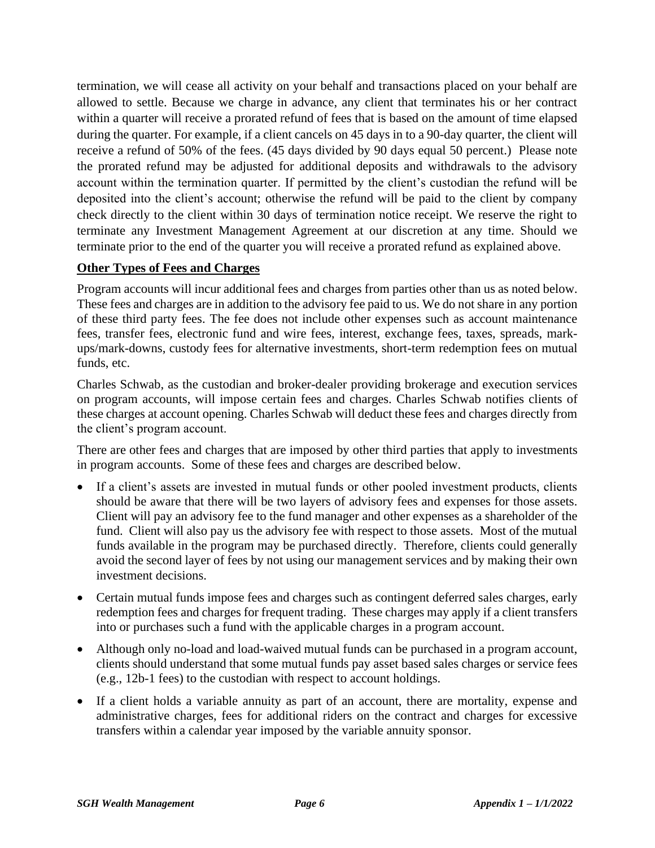termination, we will cease all activity on your behalf and transactions placed on your behalf are allowed to settle. Because we charge in advance, any client that terminates his or her contract within a quarter will receive a prorated refund of fees that is based on the amount of time elapsed during the quarter. For example, if a client cancels on 45 days in to a 90-day quarter, the client will receive a refund of 50% of the fees. (45 days divided by 90 days equal 50 percent.) Please note the prorated refund may be adjusted for additional deposits and withdrawals to the advisory account within the termination quarter. If permitted by the client's custodian the refund will be deposited into the client's account; otherwise the refund will be paid to the client by company check directly to the client within 30 days of termination notice receipt. We reserve the right to terminate any Investment Management Agreement at our discretion at any time. Should we terminate prior to the end of the quarter you will receive a prorated refund as explained above.

#### **Other Types of Fees and Charges**

Program accounts will incur additional fees and charges from parties other than us as noted below. These fees and charges are in addition to the advisory fee paid to us. We do not share in any portion of these third party fees. The fee does not include other expenses such as account maintenance fees, transfer fees, electronic fund and wire fees, interest, exchange fees, taxes, spreads, markups/mark-downs, custody fees for alternative investments, short-term redemption fees on mutual funds, etc.

Charles Schwab, as the custodian and broker-dealer providing brokerage and execution services on program accounts, will impose certain fees and charges. Charles Schwab notifies clients of these charges at account opening. Charles Schwab will deduct these fees and charges directly from the client's program account.

There are other fees and charges that are imposed by other third parties that apply to investments in program accounts. Some of these fees and charges are described below.

- If a client's assets are invested in mutual funds or other pooled investment products, clients should be aware that there will be two layers of advisory fees and expenses for those assets. Client will pay an advisory fee to the fund manager and other expenses as a shareholder of the fund. Client will also pay us the advisory fee with respect to those assets. Most of the mutual funds available in the program may be purchased directly. Therefore, clients could generally avoid the second layer of fees by not using our management services and by making their own investment decisions.
- Certain mutual funds impose fees and charges such as contingent deferred sales charges, early redemption fees and charges for frequent trading. These charges may apply if a client transfers into or purchases such a fund with the applicable charges in a program account.
- Although only no-load and load-waived mutual funds can be purchased in a program account, clients should understand that some mutual funds pay asset based sales charges or service fees (e.g., 12b-1 fees) to the custodian with respect to account holdings.
- If a client holds a variable annuity as part of an account, there are mortality, expense and administrative charges, fees for additional riders on the contract and charges for excessive transfers within a calendar year imposed by the variable annuity sponsor.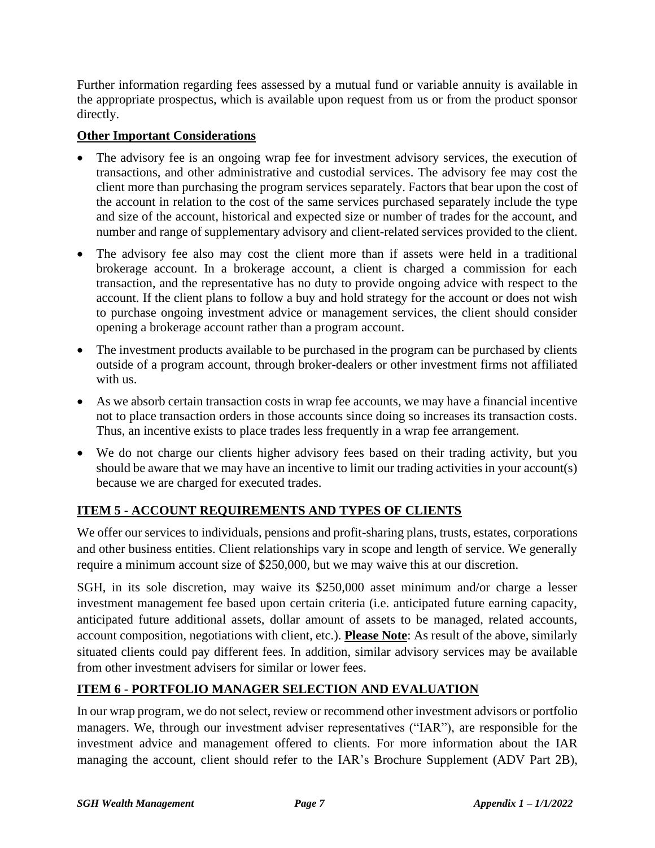Further information regarding fees assessed by a mutual fund or variable annuity is available in the appropriate prospectus, which is available upon request from us or from the product sponsor directly.

### **Other Important Considerations**

- The advisory fee is an ongoing wrap fee for investment advisory services, the execution of transactions, and other administrative and custodial services. The advisory fee may cost the client more than purchasing the program services separately. Factors that bear upon the cost of the account in relation to the cost of the same services purchased separately include the type and size of the account, historical and expected size or number of trades for the account, and number and range of supplementary advisory and client-related services provided to the client.
- The advisory fee also may cost the client more than if assets were held in a traditional brokerage account. In a brokerage account, a client is charged a commission for each transaction, and the representative has no duty to provide ongoing advice with respect to the account. If the client plans to follow a buy and hold strategy for the account or does not wish to purchase ongoing investment advice or management services, the client should consider opening a brokerage account rather than a program account.
- The investment products available to be purchased in the program can be purchased by clients outside of a program account, through broker-dealers or other investment firms not affiliated with us.
- As we absorb certain transaction costs in wrap fee accounts, we may have a financial incentive not to place transaction orders in those accounts since doing so increases its transaction costs. Thus, an incentive exists to place trades less frequently in a wrap fee arrangement.
- We do not charge our clients higher advisory fees based on their trading activity, but you should be aware that we may have an incentive to limit our trading activities in your account(s) because we are charged for executed trades.

# **ITEM 5 - ACCOUNT REQUIREMENTS AND TYPES OF CLIENTS**

We offer our services to individuals, pensions and profit-sharing plans, trusts, estates, corporations and other business entities. Client relationships vary in scope and length of service. We generally require a minimum account size of \$250,000, but we may waive this at our discretion.

SGH, in its sole discretion, may waive its \$250,000 asset minimum and/or charge a lesser investment management fee based upon certain criteria (i.e. anticipated future earning capacity, anticipated future additional assets, dollar amount of assets to be managed, related accounts, account composition, negotiations with client, etc.). **Please Note**: As result of the above, similarly situated clients could pay different fees. In addition, similar advisory services may be available from other investment advisers for similar or lower fees.

# **ITEM 6 - PORTFOLIO MANAGER SELECTION AND EVALUATION**

In our wrap program, we do not select, review or recommend other investment advisors or portfolio managers. We, through our investment adviser representatives ("IAR"), are responsible for the investment advice and management offered to clients. For more information about the IAR managing the account, client should refer to the IAR's Brochure Supplement (ADV Part 2B),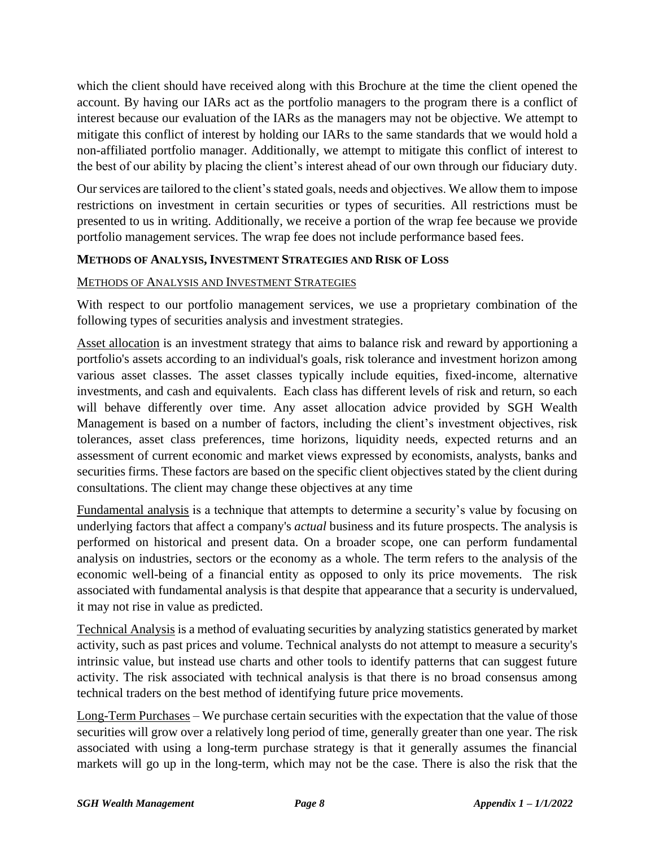which the client should have received along with this Brochure at the time the client opened the account. By having our IARs act as the portfolio managers to the program there is a conflict of interest because our evaluation of the IARs as the managers may not be objective. We attempt to mitigate this conflict of interest by holding our IARs to the same standards that we would hold a non-affiliated portfolio manager. Additionally, we attempt to mitigate this conflict of interest to the best of our ability by placing the client's interest ahead of our own through our fiduciary duty.

Ourservices are tailored to the client's stated goals, needs and objectives. We allow them to impose restrictions on investment in certain securities or types of securities. All restrictions must be presented to us in writing. Additionally, we receive a portion of the wrap fee because we provide portfolio management services. The wrap fee does not include performance based fees.

#### **METHODS OF ANALYSIS, INVESTMENT STRATEGIES AND RISK OF LOSS**

#### METHODS OF ANALYSIS AND INVESTMENT STRATEGIES

With respect to our portfolio management services, we use a proprietary combination of the following types of securities analysis and investment strategies.

Asset allocation is an investment strategy that aims to balance risk and reward by apportioning a portfolio's assets according to an individual's goals, risk tolerance and investment horizon among various asset classes. The asset classes typically include equities, fixed-income, alternative investments, and cash and equivalents. Each class has different levels of risk and return, so each will behave differently over time. Any asset allocation advice provided by SGH Wealth Management is based on a number of factors, including the client's investment objectives, risk tolerances, asset class preferences, time horizons, liquidity needs, expected returns and an assessment of current economic and market views expressed by economists, analysts, banks and securities firms. These factors are based on the specific client objectives stated by the client during consultations. The client may change these objectives at any time

Fundamental analysis is a technique that attempts to determine a security's value by focusing on underlying factors that affect a company's *actual* business and its future prospects. The analysis is performed on historical and present data. On a broader scope, one can perform fundamental analysis on industries, sectors or the economy as a whole. The term refers to the analysis of the economic well-being of a financial entity as opposed to only its price movements. The risk associated with fundamental analysis is that despite that appearance that a security is undervalued, it may not rise in value as predicted.

Technical Analysis is a method of evaluating securities by analyzing statistics generated by market activity, such as past prices and volume. Technical analysts do not attempt to measure a security's intrinsic value, but instead use charts and other tools to identify patterns that can suggest future activity. The risk associated with technical analysis is that there is no broad consensus among technical traders on the best method of identifying future price movements.

Long-Term Purchases – We purchase certain securities with the expectation that the value of those securities will grow over a relatively long period of time, generally greater than one year. The risk associated with using a long-term purchase strategy is that it generally assumes the financial markets will go up in the long-term, which may not be the case. There is also the risk that the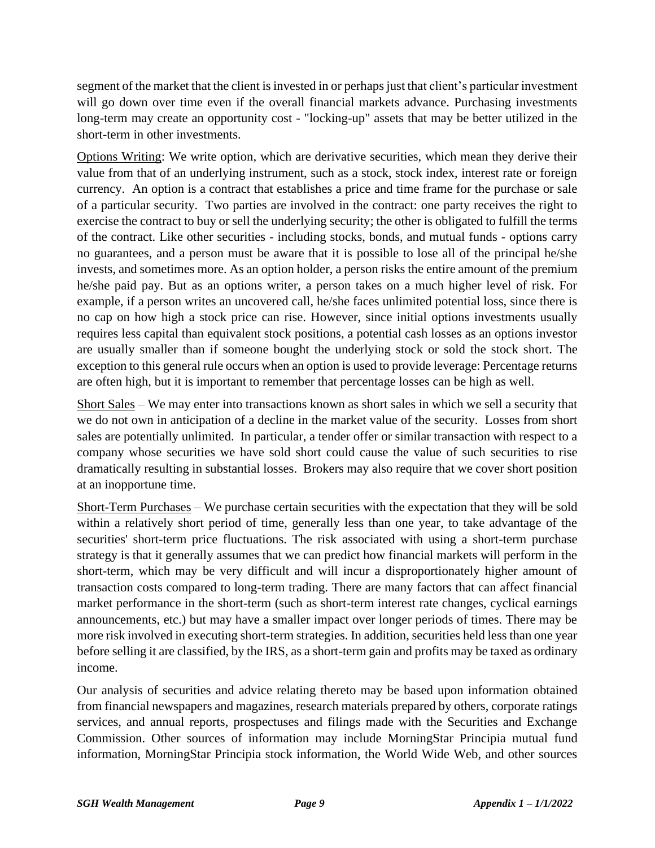segment of the market that the client is invested in or perhaps just that client's particular investment will go down over time even if the overall financial markets advance. Purchasing investments long-term may create an opportunity cost - "locking-up" assets that may be better utilized in the short-term in other investments.

Options Writing: We write option, which are derivative securities, which mean they derive their value from that of an underlying instrument, such as a stock, stock index, interest rate or foreign currency. An option is a contract that establishes a price and time frame for the purchase or sale of a particular security. Two parties are involved in the contract: one party receives the right to exercise the contract to buy or sell the underlying security; the other is obligated to fulfill the terms of the contract. Like other securities - including stocks, bonds, and mutual funds - options carry no guarantees, and a person must be aware that it is possible to lose all of the principal he/she invests, and sometimes more. As an option holder, a person risks the entire amount of the premium he/she paid pay. But as an options writer, a person takes on a much higher level of risk. For example, if a person writes an uncovered call, he/she faces unlimited potential loss, since there is no cap on how high a stock price can rise. However, since initial options investments usually requires less capital than equivalent stock positions, a potential cash losses as an options investor are usually smaller than if someone bought the underlying stock or sold the stock short. The exception to this general rule occurs when an option is used to provide leverage: Percentage returns are often high, but it is important to remember that percentage losses can be high as well.

Short Sales – We may enter into transactions known as short sales in which we sell a security that we do not own in anticipation of a decline in the market value of the security. Losses from short sales are potentially unlimited. In particular, a tender offer or similar transaction with respect to a company whose securities we have sold short could cause the value of such securities to rise dramatically resulting in substantial losses. Brokers may also require that we cover short position at an inopportune time.

Short-Term Purchases – We purchase certain securities with the expectation that they will be sold within a relatively short period of time, generally less than one year, to take advantage of the securities' short-term price fluctuations. The risk associated with using a short-term purchase strategy is that it generally assumes that we can predict how financial markets will perform in the short-term, which may be very difficult and will incur a disproportionately higher amount of transaction costs compared to long-term trading. There are many factors that can affect financial market performance in the short-term (such as short-term interest rate changes, cyclical earnings announcements, etc.) but may have a smaller impact over longer periods of times. There may be more risk involved in executing short-term strategies. In addition, securities held less than one year before selling it are classified, by the IRS, as a short-term gain and profits may be taxed as ordinary income.

Our analysis of securities and advice relating thereto may be based upon information obtained from financial newspapers and magazines, research materials prepared by others, corporate ratings services, and annual reports, prospectuses and filings made with the Securities and Exchange Commission. Other sources of information may include MorningStar Principia mutual fund information, MorningStar Principia stock information, the World Wide Web, and other sources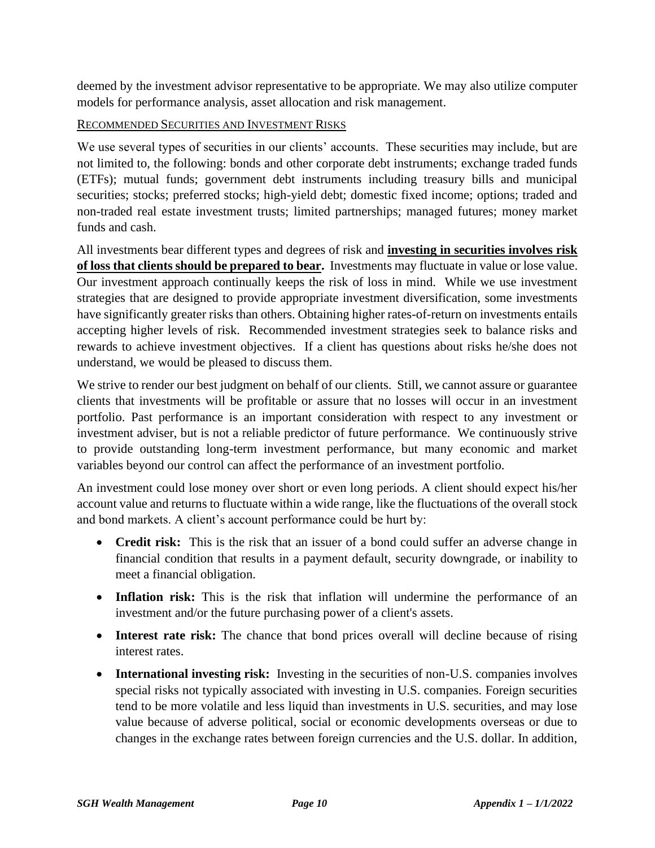deemed by the investment advisor representative to be appropriate. We may also utilize computer models for performance analysis, asset allocation and risk management.

#### RECOMMENDED SECURITIES AND INVESTMENT RISKS

We use several types of securities in our clients' accounts. These securities may include, but are not limited to, the following: bonds and other corporate debt instruments; exchange traded funds (ETFs); mutual funds; government debt instruments including treasury bills and municipal securities; stocks; preferred stocks; high-yield debt; domestic fixed income; options; traded and non-traded real estate investment trusts; limited partnerships; managed futures; money market funds and cash.

All investments bear different types and degrees of risk and **investing in securities involves risk of loss that clients should be prepared to bear.** Investments may fluctuate in value or lose value. Our investment approach continually keeps the risk of loss in mind. While we use investment strategies that are designed to provide appropriate investment diversification, some investments have significantly greater risks than others. Obtaining higher rates-of-return on investments entails accepting higher levels of risk. Recommended investment strategies seek to balance risks and rewards to achieve investment objectives. If a client has questions about risks he/she does not understand, we would be pleased to discuss them.

We strive to render our best judgment on behalf of our clients. Still, we cannot assure or guarantee clients that investments will be profitable or assure that no losses will occur in an investment portfolio. Past performance is an important consideration with respect to any investment or investment adviser, but is not a reliable predictor of future performance. We continuously strive to provide outstanding long-term investment performance, but many economic and market variables beyond our control can affect the performance of an investment portfolio.

An investment could lose money over short or even long periods. A client should expect his/her account value and returns to fluctuate within a wide range, like the fluctuations of the overall stock and bond markets. A client's account performance could be hurt by:

- **Credit risk:** This is the risk that an issuer of a bond could suffer an adverse change in financial condition that results in a payment default, security downgrade, or inability to meet a financial obligation.
- **Inflation risk:** This is the risk that inflation will undermine the performance of an investment and/or the future purchasing power of a client's assets.
- **Interest rate risk:** The chance that bond prices overall will decline because of rising interest rates.
- **International investing risk:** Investing in the securities of non-U.S. companies involves special risks not typically associated with investing in U.S. companies. Foreign securities tend to be more volatile and less liquid than investments in U.S. securities, and may lose value because of adverse political, social or economic developments overseas or due to changes in the exchange rates between foreign currencies and the U.S. dollar. In addition,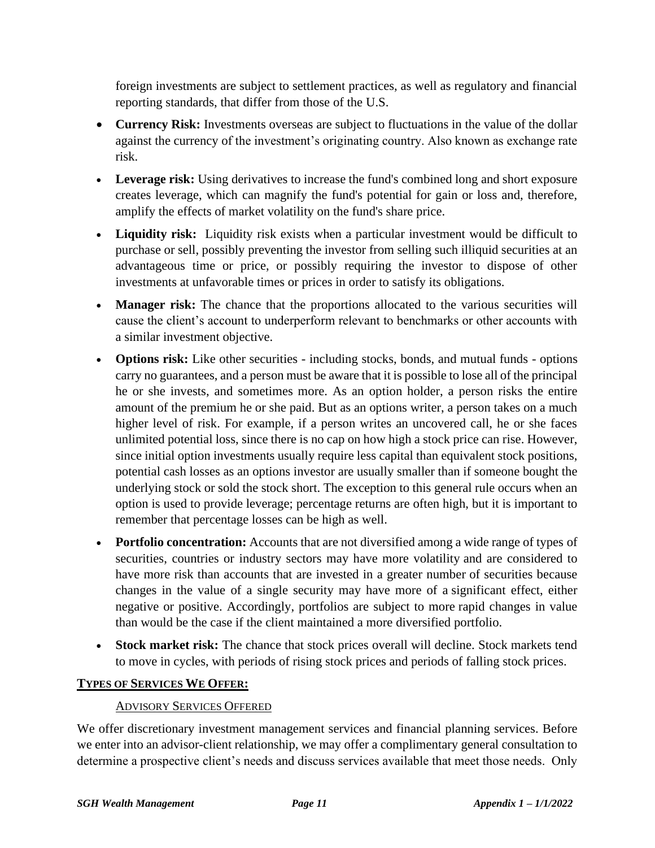foreign investments are subject to settlement practices, as well as regulatory and financial reporting standards, that differ from those of the U.S.

- **Currency Risk:** Investments overseas are subject to fluctuations in the value of the dollar against the currency of the investment's originating country. Also known as exchange rate risk.
- Leverage risk: Using derivatives to increase the fund's combined long and short exposure creates leverage, which can magnify the fund's potential for gain or loss and, therefore, amplify the effects of market volatility on the fund's share price.
- **Liquidity risk:** Liquidity risk exists when a particular investment would be difficult to purchase or sell, possibly preventing the investor from selling such illiquid securities at an advantageous time or price, or possibly requiring the investor to dispose of other investments at unfavorable times or prices in order to satisfy its obligations.
- **Manager risk:** The chance that the proportions allocated to the various securities will cause the client's account to underperform relevant to benchmarks or other accounts with a similar investment objective.
- **Options risk:** Like other securities including stocks, bonds, and mutual funds options carry no guarantees, and a person must be aware that it is possible to lose all of the principal he or she invests, and sometimes more. As an option holder, a person risks the entire amount of the premium he or she paid. But as an options writer, a person takes on a much higher level of risk. For example, if a person writes an uncovered call, he or she faces unlimited potential loss, since there is no cap on how high a stock price can rise. However, since initial option investments usually require less capital than equivalent stock positions, potential cash losses as an options investor are usually smaller than if someone bought the underlying stock or sold the stock short. The exception to this general rule occurs when an option is used to provide leverage; percentage returns are often high, but it is important to remember that percentage losses can be high as well.
- **Portfolio concentration:** Accounts that are not diversified among a wide range of types of securities, countries or industry sectors may have more volatility and are considered to have more risk than accounts that are invested in a greater number of securities because changes in the value of a single security may have more of a significant effect, either negative or positive. Accordingly, portfolios are subject to more rapid changes in value than would be the case if the client maintained a more diversified portfolio.
- **Stock market risk:** The chance that stock prices overall will decline. Stock markets tend to move in cycles, with periods of rising stock prices and periods of falling stock prices.

### **TYPES OF SERVICES WE OFFER:**

### ADVISORY SERVICES OFFERED

We offer discretionary investment management services and financial planning services. Before we enter into an advisor-client relationship, we may offer a complimentary general consultation to determine a prospective client's needs and discuss services available that meet those needs. Only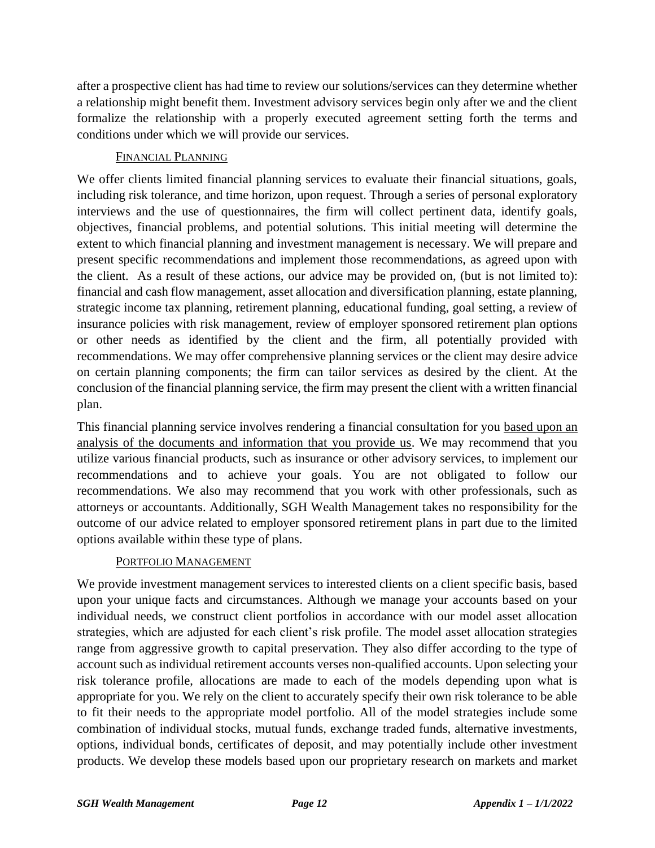after a prospective client has had time to review our solutions/services can they determine whether a relationship might benefit them. Investment advisory services begin only after we and the client formalize the relationship with a properly executed agreement setting forth the terms and conditions under which we will provide our services.

### FINANCIAL PLANNING

We offer clients limited financial planning services to evaluate their financial situations, goals, including risk tolerance, and time horizon, upon request. Through a series of personal exploratory interviews and the use of questionnaires, the firm will collect pertinent data, identify goals, objectives, financial problems, and potential solutions. This initial meeting will determine the extent to which financial planning and investment management is necessary. We will prepare and present specific recommendations and implement those recommendations, as agreed upon with the client. As a result of these actions, our advice may be provided on, (but is not limited to): financial and cash flow management, asset allocation and diversification planning, estate planning, strategic income tax planning, retirement planning, educational funding, goal setting, a review of insurance policies with risk management, review of employer sponsored retirement plan options or other needs as identified by the client and the firm, all potentially provided with recommendations. We may offer comprehensive planning services or the client may desire advice on certain planning components; the firm can tailor services as desired by the client. At the conclusion of the financial planning service, the firm may present the client with a written financial plan.

This financial planning service involves rendering a financial consultation for you based upon an analysis of the documents and information that you provide us. We may recommend that you utilize various financial products, such as insurance or other advisory services, to implement our recommendations and to achieve your goals. You are not obligated to follow our recommendations. We also may recommend that you work with other professionals, such as attorneys or accountants. Additionally, SGH Wealth Management takes no responsibility for the outcome of our advice related to employer sponsored retirement plans in part due to the limited options available within these type of plans.

### PORTFOLIO MANAGEMENT

We provide investment management services to interested clients on a client specific basis, based upon your unique facts and circumstances. Although we manage your accounts based on your individual needs, we construct client portfolios in accordance with our model asset allocation strategies, which are adjusted for each client's risk profile. The model asset allocation strategies range from aggressive growth to capital preservation. They also differ according to the type of account such as individual retirement accounts verses non-qualified accounts. Upon selecting your risk tolerance profile, allocations are made to each of the models depending upon what is appropriate for you. We rely on the client to accurately specify their own risk tolerance to be able to fit their needs to the appropriate model portfolio. All of the model strategies include some combination of individual stocks, mutual funds, exchange traded funds, alternative investments, options, individual bonds, certificates of deposit, and may potentially include other investment products. We develop these models based upon our proprietary research on markets and market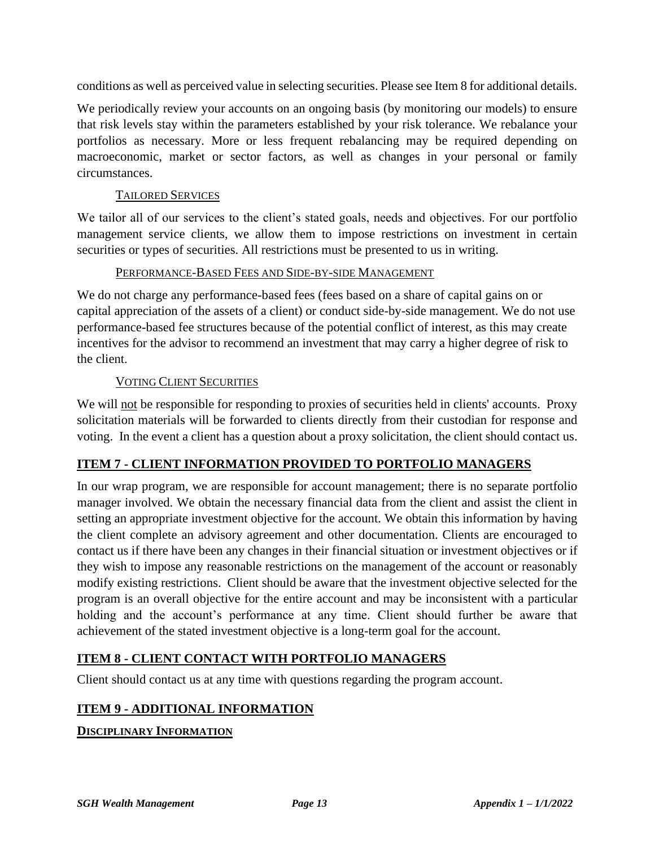conditions as well as perceived value in selecting securities. Please see Item 8 for additional details.

We periodically review your accounts on an ongoing basis (by monitoring our models) to ensure that risk levels stay within the parameters established by your risk tolerance. We rebalance your portfolios as necessary. More or less frequent rebalancing may be required depending on macroeconomic, market or sector factors, as well as changes in your personal or family circumstances.

#### TAILORED SERVICES

We tailor all of our services to the client's stated goals, needs and objectives. For our portfolio management service clients, we allow them to impose restrictions on investment in certain securities or types of securities. All restrictions must be presented to us in writing.

#### PERFORMANCE-BASED FEES AND SIDE-BY-SIDE MANAGEMENT

We do not charge any performance-based fees (fees based on a share of capital gains on or capital appreciation of the assets of a client) or conduct side-by-side management. We do not use performance-based fee structures because of the potential conflict of interest, as this may create incentives for the advisor to recommend an investment that may carry a higher degree of risk to the client.

### VOTING CLIENT SECURITIES

We will not be responsible for responding to proxies of securities held in clients' accounts. Proxy solicitation materials will be forwarded to clients directly from their custodian for response and voting. In the event a client has a question about a proxy solicitation, the client should contact us.

### **ITEM 7 - CLIENT INFORMATION PROVIDED TO PORTFOLIO MANAGERS**

In our wrap program, we are responsible for account management; there is no separate portfolio manager involved. We obtain the necessary financial data from the client and assist the client in setting an appropriate investment objective for the account. We obtain this information by having the client complete an advisory agreement and other documentation. Clients are encouraged to contact us if there have been any changes in their financial situation or investment objectives or if they wish to impose any reasonable restrictions on the management of the account or reasonably modify existing restrictions. Client should be aware that the investment objective selected for the program is an overall objective for the entire account and may be inconsistent with a particular holding and the account's performance at any time. Client should further be aware that achievement of the stated investment objective is a long-term goal for the account.

### **ITEM 8 - CLIENT CONTACT WITH PORTFOLIO MANAGERS**

Client should contact us at any time with questions regarding the program account.

### **ITEM 9 - ADDITIONAL INFORMATION**

**DISCIPLINARY INFORMATION**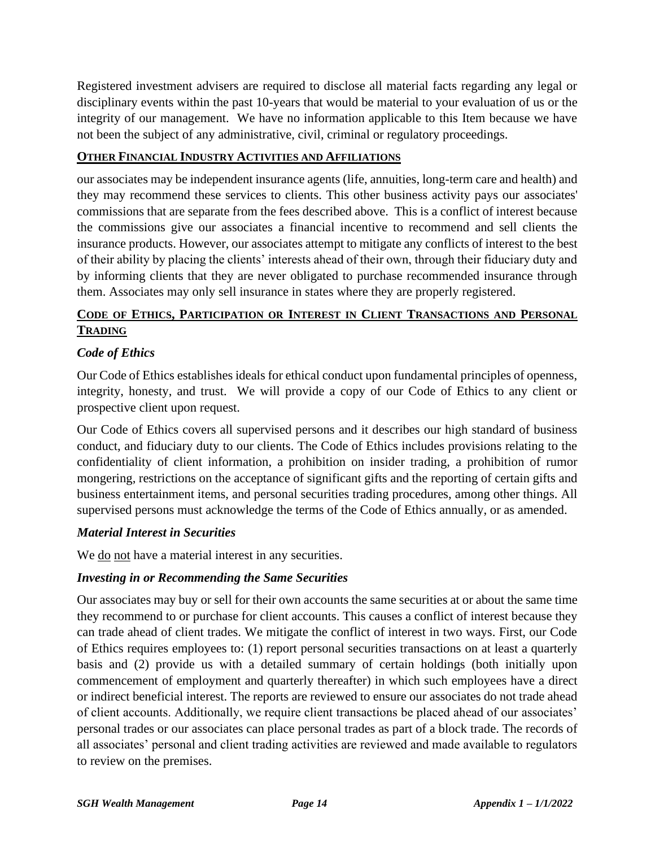Registered investment advisers are required to disclose all material facts regarding any legal or disciplinary events within the past 10-years that would be material to your evaluation of us or the integrity of our management. We have no information applicable to this Item because we have not been the subject of any administrative, civil, criminal or regulatory proceedings.

#### **OTHER FINANCIAL INDUSTRY ACTIVITIES AND AFFILIATIONS**

our associates may be independent insurance agents (life, annuities, long-term care and health) and they may recommend these services to clients. This other business activity pays our associates' commissions that are separate from the fees described above. This is a conflict of interest because the commissions give our associates a financial incentive to recommend and sell clients the insurance products. However, our associates attempt to mitigate any conflicts of interest to the best of their ability by placing the clients' interests ahead of their own, through their fiduciary duty and by informing clients that they are never obligated to purchase recommended insurance through them. Associates may only sell insurance in states where they are properly registered.

### **CODE OF ETHICS, PARTICIPATION OR INTEREST IN CLIENT TRANSACTIONS AND PERSONAL TRADING**

#### *Code of Ethics*

Our Code of Ethics establishes ideals for ethical conduct upon fundamental principles of openness, integrity, honesty, and trust. We will provide a copy of our Code of Ethics to any client or prospective client upon request.

Our Code of Ethics covers all supervised persons and it describes our high standard of business conduct, and fiduciary duty to our clients. The Code of Ethics includes provisions relating to the confidentiality of client information, a prohibition on insider trading, a prohibition of rumor mongering, restrictions on the acceptance of significant gifts and the reporting of certain gifts and business entertainment items, and personal securities trading procedures, among other things. All supervised persons must acknowledge the terms of the Code of Ethics annually, or as amended.

#### *Material Interest in Securities*

We do not have a material interest in any securities.

### *Investing in or Recommending the Same Securities*

Our associates may buy or sell for their own accounts the same securities at or about the same time they recommend to or purchase for client accounts. This causes a conflict of interest because they can trade ahead of client trades. We mitigate the conflict of interest in two ways. First, our Code of Ethics requires employees to: (1) report personal securities transactions on at least a quarterly basis and (2) provide us with a detailed summary of certain holdings (both initially upon commencement of employment and quarterly thereafter) in which such employees have a direct or indirect beneficial interest. The reports are reviewed to ensure our associates do not trade ahead of client accounts. Additionally, we require client transactions be placed ahead of our associates' personal trades or our associates can place personal trades as part of a block trade. The records of all associates' personal and client trading activities are reviewed and made available to regulators to review on the premises.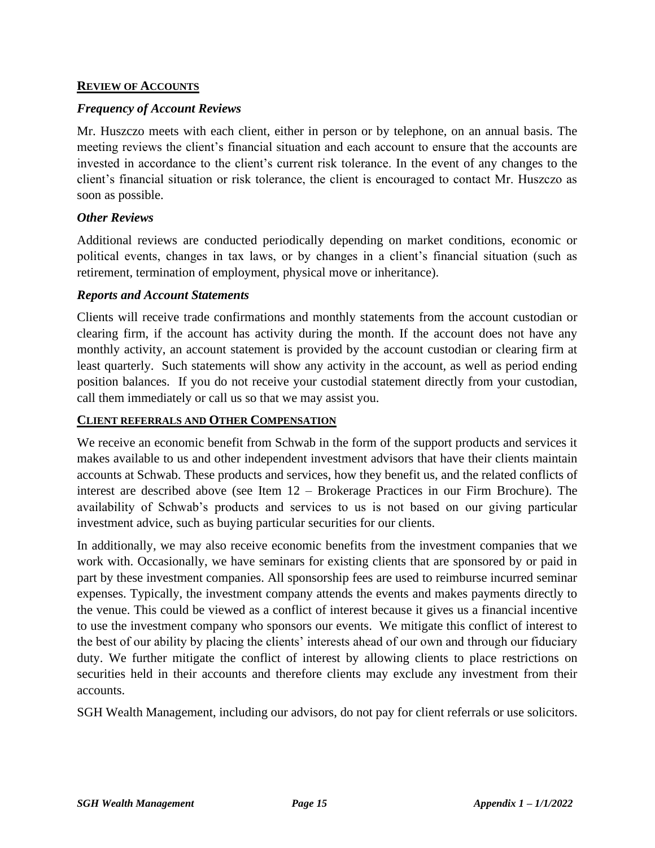#### **REVIEW OF ACCOUNTS**

#### *Frequency of Account Reviews*

Mr. Huszczo meets with each client, either in person or by telephone, on an annual basis. The meeting reviews the client's financial situation and each account to ensure that the accounts are invested in accordance to the client's current risk tolerance. In the event of any changes to the client's financial situation or risk tolerance, the client is encouraged to contact Mr. Huszczo as soon as possible.

#### *Other Reviews*

Additional reviews are conducted periodically depending on market conditions, economic or political events, changes in tax laws, or by changes in a client's financial situation (such as retirement, termination of employment, physical move or inheritance).

#### *Reports and Account Statements*

Clients will receive trade confirmations and monthly statements from the account custodian or clearing firm, if the account has activity during the month. If the account does not have any monthly activity, an account statement is provided by the account custodian or clearing firm at least quarterly. Such statements will show any activity in the account, as well as period ending position balances. If you do not receive your custodial statement directly from your custodian, call them immediately or call us so that we may assist you.

#### **CLIENT REFERRALS AND OTHER COMPENSATION**

We receive an economic benefit from Schwab in the form of the support products and services it makes available to us and other independent investment advisors that have their clients maintain accounts at Schwab. These products and services, how they benefit us, and the related conflicts of interest are described above (see Item 12 – Brokerage Practices in our Firm Brochure). The availability of Schwab's products and services to us is not based on our giving particular investment advice, such as buying particular securities for our clients.

In additionally, we may also receive economic benefits from the investment companies that we work with. Occasionally, we have seminars for existing clients that are sponsored by or paid in part by these investment companies. All sponsorship fees are used to reimburse incurred seminar expenses. Typically, the investment company attends the events and makes payments directly to the venue. This could be viewed as a conflict of interest because it gives us a financial incentive to use the investment company who sponsors our events. We mitigate this conflict of interest to the best of our ability by placing the clients' interests ahead of our own and through our fiduciary duty. We further mitigate the conflict of interest by allowing clients to place restrictions on securities held in their accounts and therefore clients may exclude any investment from their accounts.

SGH Wealth Management, including our advisors, do not pay for client referrals or use solicitors.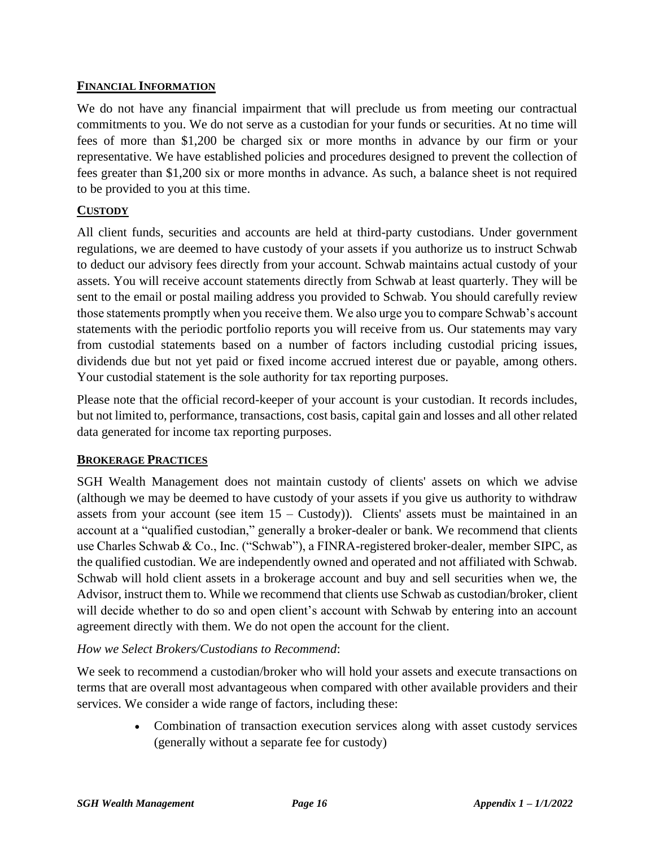#### **FINANCIAL INFORMATION**

We do not have any financial impairment that will preclude us from meeting our contractual commitments to you. We do not serve as a custodian for your funds or securities. At no time will fees of more than \$1,200 be charged six or more months in advance by our firm or your representative. We have established policies and procedures designed to prevent the collection of fees greater than \$1,200 six or more months in advance. As such, a balance sheet is not required to be provided to you at this time.

#### **CUSTODY**

All client funds, securities and accounts are held at third-party custodians. Under government regulations, we are deemed to have custody of your assets if you authorize us to instruct Schwab to deduct our advisory fees directly from your account. Schwab maintains actual custody of your assets. You will receive account statements directly from Schwab at least quarterly. They will be sent to the email or postal mailing address you provided to Schwab. You should carefully review those statements promptly when you receive them. We also urge you to compare Schwab's account statements with the periodic portfolio reports you will receive from us. Our statements may vary from custodial statements based on a number of factors including custodial pricing issues, dividends due but not yet paid or fixed income accrued interest due or payable, among others. Your custodial statement is the sole authority for tax reporting purposes.

Please note that the official record-keeper of your account is your custodian. It records includes, but not limited to, performance, transactions, cost basis, capital gain and losses and all other related data generated for income tax reporting purposes.

### **BROKERAGE PRACTICES**

SGH Wealth Management does not maintain custody of clients' assets on which we advise (although we may be deemed to have custody of your assets if you give us authority to withdraw assets from your account (see item  $15 -$ Custody)). Clients' assets must be maintained in an account at a "qualified custodian," generally a broker-dealer or bank. We recommend that clients use Charles Schwab & Co., Inc. ("Schwab"), a FINRA-registered broker-dealer, member SIPC, as the qualified custodian. We are independently owned and operated and not affiliated with Schwab. Schwab will hold client assets in a brokerage account and buy and sell securities when we, the Advisor, instruct them to. While we recommend that clients use Schwab as custodian/broker, client will decide whether to do so and open client's account with Schwab by entering into an account agreement directly with them. We do not open the account for the client.

#### *How we Select Brokers/Custodians to Recommend*:

We seek to recommend a custodian/broker who will hold your assets and execute transactions on terms that are overall most advantageous when compared with other available providers and their services. We consider a wide range of factors, including these:

> • Combination of transaction execution services along with asset custody services (generally without a separate fee for custody)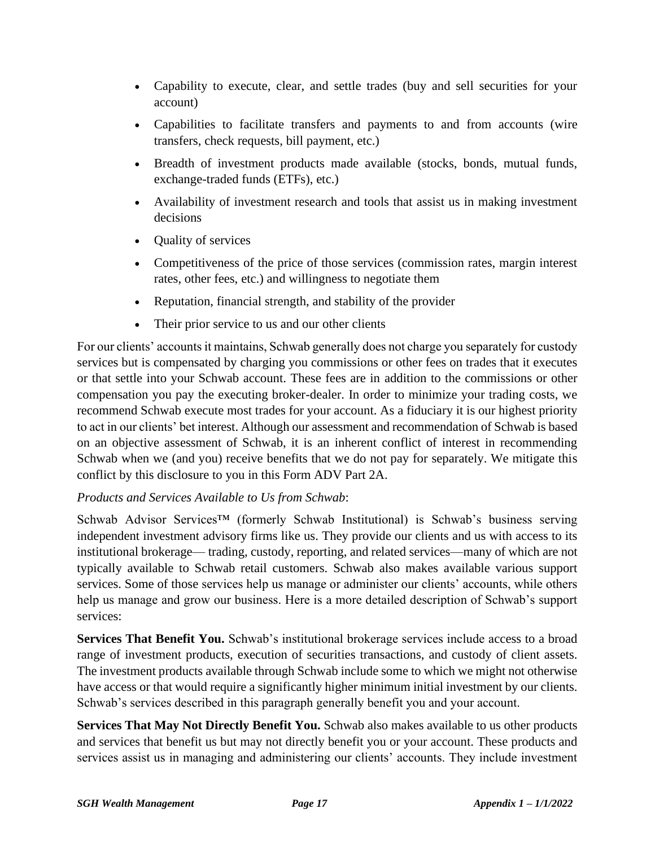- Capability to execute, clear, and settle trades (buy and sell securities for your account)
- Capabilities to facilitate transfers and payments to and from accounts (wire transfers, check requests, bill payment, etc.)
- Breadth of investment products made available (stocks, bonds, mutual funds, exchange-traded funds (ETFs), etc.)
- Availability of investment research and tools that assist us in making investment decisions
- Quality of services
- Competitiveness of the price of those services (commission rates, margin interest rates, other fees, etc.) and willingness to negotiate them
- Reputation, financial strength, and stability of the provider
- Their prior service to us and our other clients

For our clients' accounts it maintains, Schwab generally does not charge you separately for custody services but is compensated by charging you commissions or other fees on trades that it executes or that settle into your Schwab account. These fees are in addition to the commissions or other compensation you pay the executing broker-dealer. In order to minimize your trading costs, we recommend Schwab execute most trades for your account. As a fiduciary it is our highest priority to act in our clients' bet interest. Although our assessment and recommendation of Schwab is based on an objective assessment of Schwab, it is an inherent conflict of interest in recommending Schwab when we (and you) receive benefits that we do not pay for separately. We mitigate this conflict by this disclosure to you in this Form ADV Part 2A.

### *Products and Services Available to Us from Schwab*:

Schwab Advisor Services™ (formerly Schwab Institutional) is Schwab's business serving independent investment advisory firms like us. They provide our clients and us with access to its institutional brokerage— trading, custody, reporting, and related services—many of which are not typically available to Schwab retail customers. Schwab also makes available various support services. Some of those services help us manage or administer our clients' accounts, while others help us manage and grow our business. Here is a more detailed description of Schwab's support services:

**Services That Benefit You.** Schwab's institutional brokerage services include access to a broad range of investment products, execution of securities transactions, and custody of client assets. The investment products available through Schwab include some to which we might not otherwise have access or that would require a significantly higher minimum initial investment by our clients. Schwab's services described in this paragraph generally benefit you and your account.

**Services That May Not Directly Benefit You.** Schwab also makes available to us other products and services that benefit us but may not directly benefit you or your account. These products and services assist us in managing and administering our clients' accounts. They include investment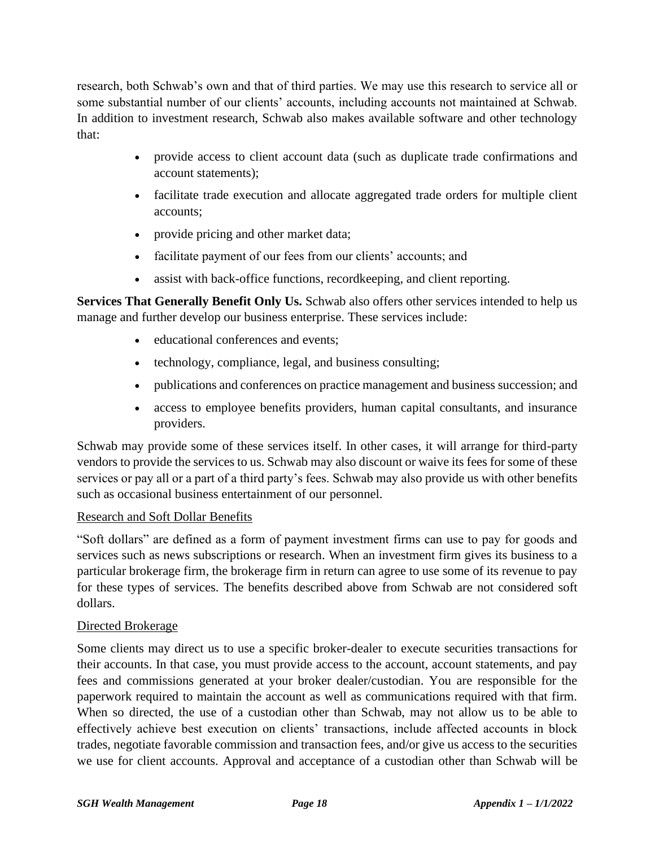research, both Schwab's own and that of third parties. We may use this research to service all or some substantial number of our clients' accounts, including accounts not maintained at Schwab. In addition to investment research, Schwab also makes available software and other technology that:

- provide access to client account data (such as duplicate trade confirmations and account statements);
- facilitate trade execution and allocate aggregated trade orders for multiple client accounts;
- provide pricing and other market data;
- facilitate payment of our fees from our clients' accounts; and
- assist with back-office functions, record keeping, and client reporting.

**Services That Generally Benefit Only Us.** Schwab also offers other services intended to help us manage and further develop our business enterprise. These services include:

- educational conferences and events;
- technology, compliance, legal, and business consulting;
- publications and conferences on practice management and business succession; and
- access to employee benefits providers, human capital consultants, and insurance providers.

Schwab may provide some of these services itself. In other cases, it will arrange for third-party vendors to provide the services to us. Schwab may also discount or waive its fees for some of these services or pay all or a part of a third party's fees. Schwab may also provide us with other benefits such as occasional business entertainment of our personnel.

### Research and Soft Dollar Benefits

"Soft dollars" are defined as a form of payment investment firms can use to pay for goods and services such as news subscriptions or research. When an investment firm gives its business to a particular brokerage firm, the brokerage firm in return can agree to use some of its revenue to pay for these types of services. The benefits described above from Schwab are not considered soft dollars.

### Directed Brokerage

Some clients may direct us to use a specific broker-dealer to execute securities transactions for their accounts. In that case, you must provide access to the account, account statements, and pay fees and commissions generated at your broker dealer/custodian. You are responsible for the paperwork required to maintain the account as well as communications required with that firm. When so directed, the use of a custodian other than Schwab, may not allow us to be able to effectively achieve best execution on clients' transactions, include affected accounts in block trades, negotiate favorable commission and transaction fees, and/or give us access to the securities we use for client accounts. Approval and acceptance of a custodian other than Schwab will be